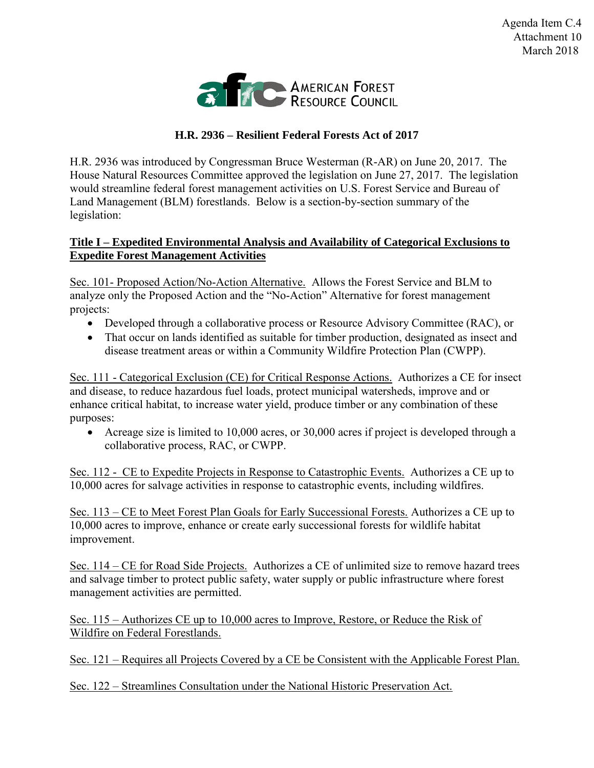

## **H.R. 2936 – Resilient Federal Forests Act of 2017**

H.R. 2936 was introduced by Congressman Bruce Westerman (R-AR) on June 20, 2017. The House Natural Resources Committee approved the legislation on June 27, 2017. The legislation would streamline federal forest management activities on U.S. Forest Service and Bureau of Land Management (BLM) forestlands. Below is a section-by-section summary of the legislation:

#### **Title I – Expedited Environmental Analysis and Availability of Categorical Exclusions to Expedite Forest Management Activities**

Sec. 101- Proposed Action/No-Action Alternative. Allows the Forest Service and BLM to analyze only the Proposed Action and the "No-Action" Alternative for forest management projects:

- Developed through a collaborative process or Resource Advisory Committee (RAC), or
- That occur on lands identified as suitable for timber production, designated as insect and disease treatment areas or within a Community Wildfire Protection Plan (CWPP).

Sec. 111 - Categorical Exclusion (CE) for Critical Response Actions. Authorizes a CE for insect and disease, to reduce hazardous fuel loads, protect municipal watersheds, improve and or enhance critical habitat, to increase water yield, produce timber or any combination of these purposes:

• Acreage size is limited to 10,000 acres, or 30,000 acres if project is developed through a collaborative process, RAC, or CWPP.

Sec. 112 - CE to Expedite Projects in Response to Catastrophic Events. Authorizes a CE up to 10,000 acres for salvage activities in response to catastrophic events, including wildfires.

Sec. 113 – CE to Meet Forest Plan Goals for Early Successional Forests. Authorizes a CE up to 10,000 acres to improve, enhance or create early successional forests for wildlife habitat improvement.

Sec. 114 – CE for Road Side Projects. Authorizes a CE of unlimited size to remove hazard trees and salvage timber to protect public safety, water supply or public infrastructure where forest management activities are permitted.

Sec. 115 – Authorizes CE up to 10,000 acres to Improve, Restore, or Reduce the Risk of Wildfire on Federal Forestlands.

Sec. 121 – Requires all Projects Covered by a CE be Consistent with the Applicable Forest Plan.

Sec. 122 – Streamlines Consultation under the National Historic Preservation Act.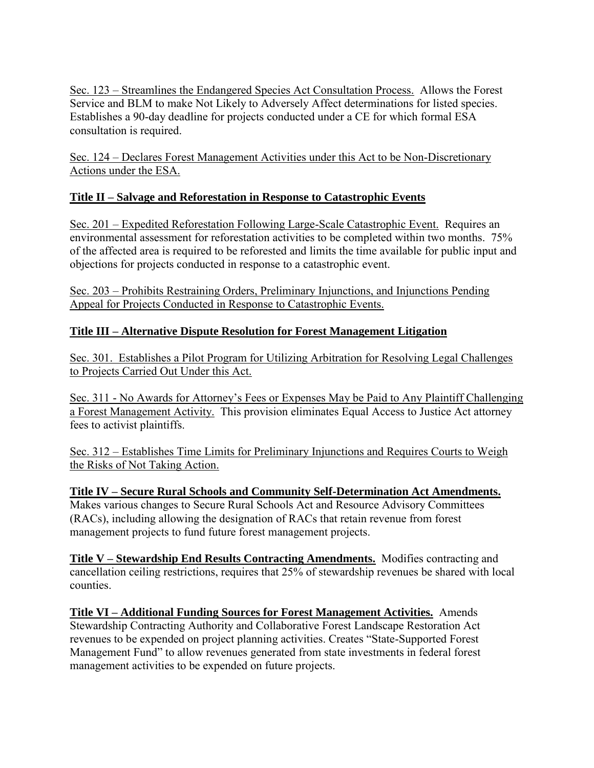Sec. 123 – Streamlines the Endangered Species Act Consultation Process. Allows the Forest Service and BLM to make Not Likely to Adversely Affect determinations for listed species. Establishes a 90-day deadline for projects conducted under a CE for which formal ESA consultation is required.

Sec. 124 – Declares Forest Management Activities under this Act to be Non-Discretionary Actions under the ESA.

### **Title II – Salvage and Reforestation in Response to Catastrophic Events**

Sec. 201 – Expedited Reforestation Following Large-Scale Catastrophic Event. Requires an environmental assessment for reforestation activities to be completed within two months. 75% of the affected area is required to be reforested and limits the time available for public input and objections for projects conducted in response to a catastrophic event.

Sec. 203 – Prohibits Restraining Orders, Preliminary Injunctions, and Injunctions Pending Appeal for Projects Conducted in Response to Catastrophic Events.

### **Title III – Alternative Dispute Resolution for Forest Management Litigation**

Sec. 301. Establishes a Pilot Program for Utilizing Arbitration for Resolving Legal Challenges to Projects Carried Out Under this Act.

Sec. 311 - No Awards for Attorney's Fees or Expenses May be Paid to Any Plaintiff Challenging a Forest Management Activity. This provision eliminates Equal Access to Justice Act attorney fees to activist plaintiffs.

Sec. 312 – Establishes Time Limits for Preliminary Injunctions and Requires Courts to Weigh the Risks of Not Taking Action.

**Title IV – Secure Rural Schools and Community Self-Determination Act Amendments.** Makes various changes to Secure Rural Schools Act and Resource Advisory Committees (RACs), including allowing the designation of RACs that retain revenue from forest management projects to fund future forest management projects.

**Title V – Stewardship End Results Contracting Amendments.** Modifies contracting and cancellation ceiling restrictions, requires that 25% of stewardship revenues be shared with local counties.

**Title VI – Additional Funding Sources for Forest Management Activities.** Amends Stewardship Contracting Authority and Collaborative Forest Landscape Restoration Act revenues to be expended on project planning activities. Creates "State-Supported Forest Management Fund" to allow revenues generated from state investments in federal forest management activities to be expended on future projects.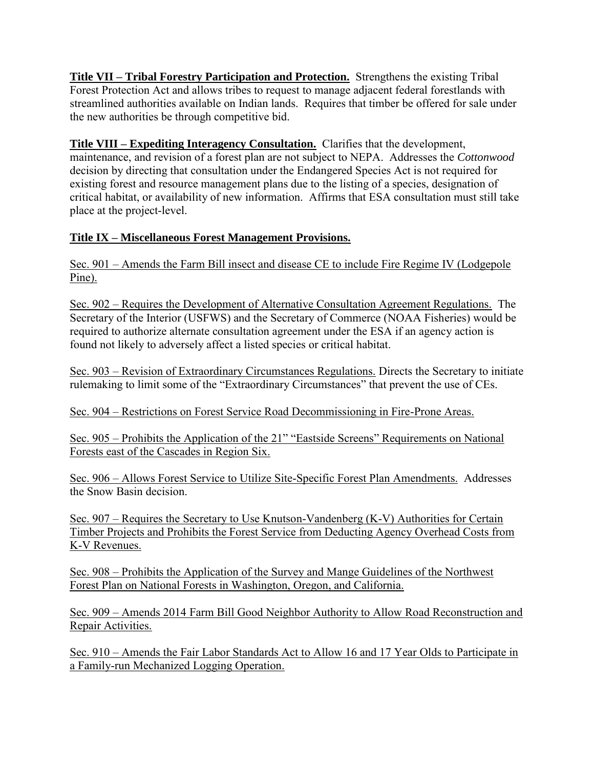**Title VII – Tribal Forestry Participation and Protection.** Strengthens the existing Tribal Forest Protection Act and allows tribes to request to manage adjacent federal forestlands with streamlined authorities available on Indian lands. Requires that timber be offered for sale under the new authorities be through competitive bid.

**Title VIII – Expediting Interagency Consultation.** Clarifies that the development, maintenance, and revision of a forest plan are not subject to NEPA. Addresses the *Cottonwood*  decision by directing that consultation under the Endangered Species Act is not required for existing forest and resource management plans due to the listing of a species, designation of critical habitat, or availability of new information. Affirms that ESA consultation must still take place at the project-level.

# **Title IX – Miscellaneous Forest Management Provisions.**

Sec. 901 – Amends the Farm Bill insect and disease CE to include Fire Regime IV (Lodgepole Pine).

Sec. 902 – Requires the Development of Alternative Consultation Agreement Regulations. The Secretary of the Interior (USFWS) and the Secretary of Commerce (NOAA Fisheries) would be required to authorize alternate consultation agreement under the ESA if an agency action is found not likely to adversely affect a listed species or critical habitat.

Sec. 903 – Revision of Extraordinary Circumstances Regulations. Directs the Secretary to initiate rulemaking to limit some of the "Extraordinary Circumstances" that prevent the use of CEs.

Sec. 904 – Restrictions on Forest Service Road Decommissioning in Fire-Prone Areas.

Sec. 905 – Prohibits the Application of the 21" "Eastside Screens" Requirements on National Forests east of the Cascades in Region Six.

Sec. 906 – Allows Forest Service to Utilize Site-Specific Forest Plan Amendments. Addresses the Snow Basin decision.

Sec. 907 – Requires the Secretary to Use Knutson-Vandenberg (K-V) Authorities for Certain Timber Projects and Prohibits the Forest Service from Deducting Agency Overhead Costs from K-V Revenues.

Sec. 908 – Prohibits the Application of the Survey and Mange Guidelines of the Northwest Forest Plan on National Forests in Washington, Oregon, and California.

Sec. 909 – Amends 2014 Farm Bill Good Neighbor Authority to Allow Road Reconstruction and Repair Activities.

Sec. 910 – Amends the Fair Labor Standards Act to Allow 16 and 17 Year Olds to Participate in a Family-run Mechanized Logging Operation.